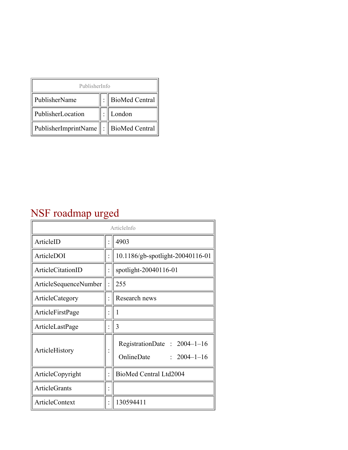| PublisherInfo                                   |  |                    |  |  |
|-------------------------------------------------|--|--------------------|--|--|
| PublisherName                                   |  | :   BioMed Central |  |  |
| PublisherLocation                               |  | London             |  |  |
| PublisherImprintName $\ \cdot\ $ BioMed Central |  |                    |  |  |

## NSF roadmap urged

| ArticleInfo           |  |                                                                |
|-----------------------|--|----------------------------------------------------------------|
| ArticleID             |  | 4903                                                           |
| ArticleDOI            |  | 10.1186/gb-spotlight-20040116-01                               |
| ArticleCitationID     |  | spotlight-20040116-01                                          |
| ArticleSequenceNumber |  | 255                                                            |
| ArticleCategory       |  | Research news                                                  |
| ArticleFirstPage      |  | 1                                                              |
| ArticleLastPage       |  | 3                                                              |
| ArticleHistory        |  | RegistrationDate: 2004-1-16<br>OnlineDate<br>$: 2004 - 1 - 16$ |
| ArticleCopyright      |  | BioMed Central Ltd2004                                         |
| <b>ArticleGrants</b>  |  |                                                                |
| <b>ArticleContext</b> |  | 130594411                                                      |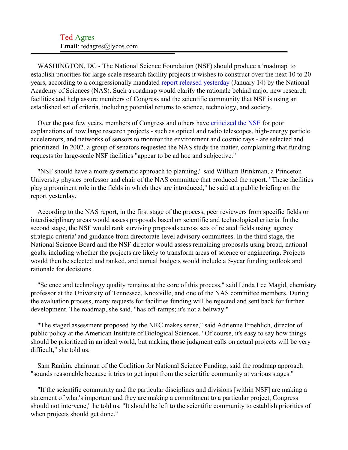## Ted Agres **Email**: tedagres@lycos.com

WASHINGTON, DC - The National Science Foundation (NSF) should produce a 'roadmap' to establish priorities for large-scale research facility projects it wishes to construct over the next 10 to 20 years, according to a congressionally mandated [report released yesterday](#page-2-0) (January 14) by the National Academy of Sciences (NAS). Such a roadmap would clarify the rationale behind major new research facilities and help assure members of Congress and the scientific community that NSF is using an established set of criteria, including potential returns to science, technology, and society.

Over the past few years, members of Congress and others have [criticized the NSF](#page-2-1) for poor explanations of how large research projects - such as optical and radio telescopes, high-energy particle accelerators, and networks of sensors to monitor the environment and cosmic rays - are selected and prioritized. In 2002, a group of senators requested the NAS study the matter, complaining that funding requests for large-scale NSF facilities "appear to be ad hoc and subjective."

"NSF should have a more systematic approach to planning," said William Brinkman, a Princeton University physics professor and chair of the NAS committee that produced the report. "These facilities play a prominent role in the fields in which they are introduced," he said at a public briefing on the report yesterday.

According to the NAS report, in the first stage of the process, peer reviewers from specific fields or interdisciplinary areas would assess proposals based on scientific and technological criteria. In the second stage, the NSF would rank surviving proposals across sets of related fields using 'agency strategic criteria' and guidance from directorate-level advisory committees. In the third stage, the National Science Board and the NSF director would assess remaining proposals using broad, national goals, including whether the projects are likely to transform areas of science or engineering. Projects would then be selected and ranked, and annual budgets would include a 5-year funding outlook and rationale for decisions.

"Science and technology quality remains at the core of this process," said Linda Lee Magid, chemistry professor at the University of Tennessee, Knoxville, and one of the NAS committee members. During the evaluation process, many requests for facilities funding will be rejected and sent back for further development. The roadmap, she said, "has off-ramps; it's not a beltway."

"The staged assessment proposed by the NRC makes sense," said Adrienne Froehlich, director of public policy at the American Institute of Biological Sciences. "Of course, it's easy to say how things should be prioritized in an ideal world, but making those judgment calls on actual projects will be very difficult," she told us.

Sam Rankin, chairman of the Coalition for National Science Funding, said the roadmap approach "sounds reasonable because it tries to get input from the scientific community at various stages."

"If the scientific community and the particular disciplines and divisions [within NSF] are making a statement of what's important and they are making a commitment to a particular project, Congress should not intervene," he told us. "It should be left to the scientific community to establish priorities of when projects should get done."